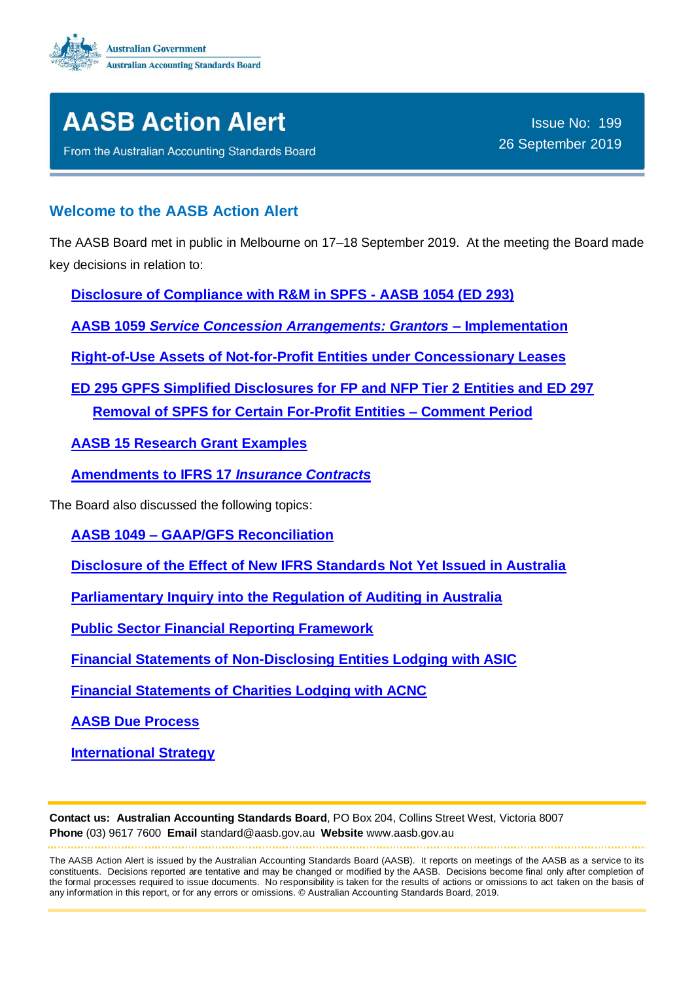



From the Australian Accounting Standards Board

## **Welcome to the AASB Action Alert**

The AASB Board met in public in Melbourne on 17–18 September 2019. At the meeting the Board made key decisions in relation to:

**[Disclosure of Compliance with R&M in SPFS -](#page-1-0) AASB 1054 (ED 293)**

**AASB 1059** *[Service Concession Arrangements: Grantors](#page-2-0)* **– Implementation**

**Right-of-Use Assets of Not-for-Profit [Entities under Concessionary Leases](#page-3-0)**

**ED 295 [GPFS Simplified Disclosures](#page-3-1) for FP and NFP Tier 2 Entities and ED 297 [Removal of SPFS for Certain For-Profit Entities](#page-3-1) – Comment Period**

**[AASB 15 Research Grant Examples](#page-4-0)**

**[Amendments to IFRS 17](#page-4-1)** *Insurance Contracts*

The Board also discussed the following topics:

**AASB 1049 – [GAAP/GFS Reconciliation](#page-5-0)**

**[Disclosure of the Effect of New IFRS Standards](#page-5-1) Not Yet Issued in Australia**

**Parliamentary Inquiry [into the Regulation of Auditing](#page-5-2) in Australia**

**[Public Sector Financial Reporting Framework](#page-5-3)**

**[Financial Statements of Non-Disclosing Entities Lodging with ASIC](#page-6-0)**

**[Financial Statements of Charities Lodging with ACNC](#page-6-1)**

**[AASB Due Process](#page-6-2)**

**[International Strategy](#page-7-0)**

**Contact us: Australian Accounting Standards Board**, PO Box 204, Collins Street West, Victoria 8007 **Phone** (03) 9617 7600 **Email** standard@aasb.gov.au **Website** www.aasb.gov.au

The AASB Action Alert is issued by the Australian Accounting Standards Board (AASB). It reports on meetings of the AASB as a service to its constituents. Decisions reported are tentative and may be changed or modified by the AASB. Decisions become final only after completion of the formal processes required to issue documents. No responsibility is taken for the results of actions or omissions to act taken on the basis of any information in this report, or for any errors or omissions. © Australian Accounting Standards Board, 2019.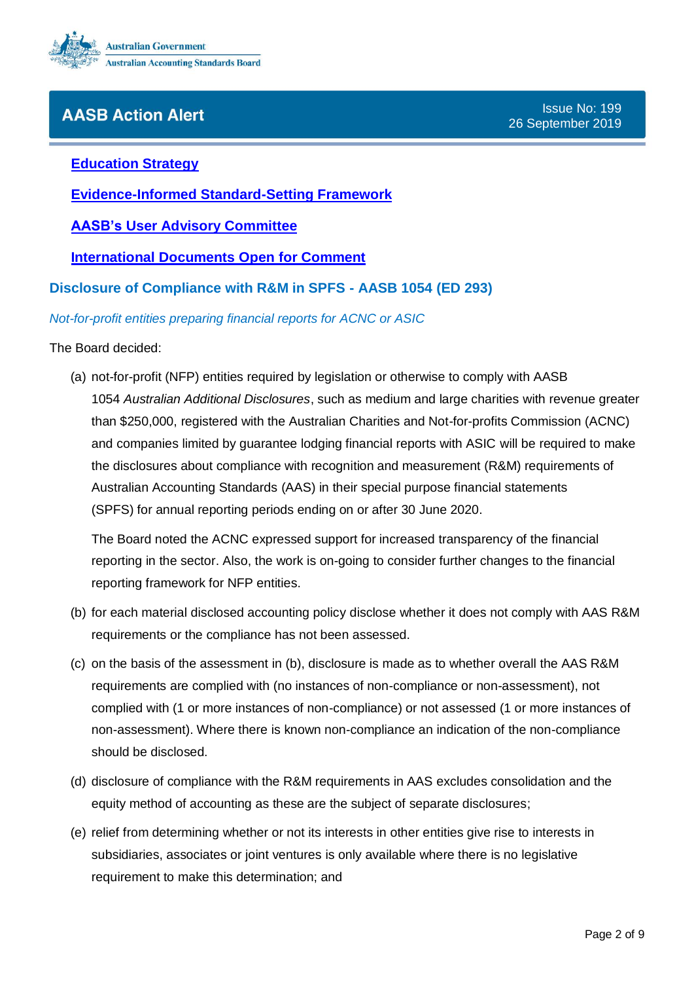

#### **[Education Strategy](#page-6-3)**

**[Evidence-Informed Standard-Setting Framework](#page-6-4)**

**AASB's [User Advisory Committee](#page-7-1)**

**International [Documents Open for Comment](#page-7-2)**

#### **Disclosure of Compliance with R&M in SPFS - AASB 1054 (ED 293)**

<span id="page-1-0"></span>*Not-for-profit entities preparing financial reports for ACNC or ASIC*

The Board decided:

(a) not-for-profit (NFP) entities required by legislation or otherwise to comply with AASB 1054 *Australian Additional Disclosures*, such as medium and large charities with revenue greater than \$250,000, registered with the Australian Charities and Not-for-profits Commission (ACNC) and companies limited by guarantee lodging financial reports with ASIC will be required to make the disclosures about compliance with recognition and measurement (R&M) requirements of Australian Accounting Standards (AAS) in their special purpose financial statements (SPFS) for annual reporting periods ending on or after 30 June 2020.

The Board noted the ACNC expressed support for increased transparency of the financial reporting in the sector. Also, the work is on-going to consider further changes to the financial reporting framework for NFP entities.

- (b) for each material disclosed accounting policy disclose whether it does not comply with AAS R&M requirements or the compliance has not been assessed.
- (c) on the basis of the assessment in (b), disclosure is made as to whether overall the AAS R&M requirements are complied with (no instances of non-compliance or non-assessment), not complied with (1 or more instances of non-compliance) or not assessed (1 or more instances of non-assessment). Where there is known non-compliance an indication of the non-compliance should be disclosed.
- (d) disclosure of compliance with the R&M requirements in AAS excludes consolidation and the equity method of accounting as these are the subject of separate disclosures;
- (e) relief from determining whether or not its interests in other entities give rise to interests in subsidiaries, associates or joint ventures is only available where there is no legislative requirement to make this determination; and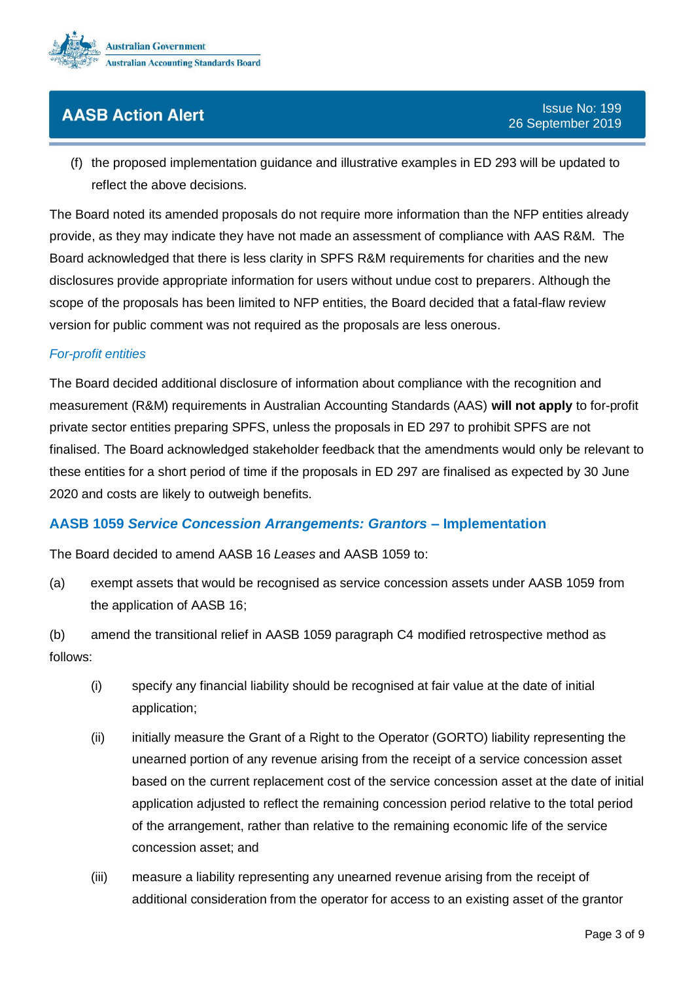

(f) the proposed implementation guidance and illustrative examples in ED 293 will be updated to reflect the above decisions.

The Board noted its amended proposals do not require more information than the NFP entities already provide, as they may indicate they have not made an assessment of compliance with AAS R&M. The Board acknowledged that there is less clarity in SPFS R&M requirements for charities and the new disclosures provide appropriate information for users without undue cost to preparers. Although the scope of the proposals has been limited to NFP entities, the Board decided that a fatal-flaw review version for public comment was not required as the proposals are less onerous.

#### *For-profit entities*

The Board decided additional disclosure of information about compliance with the recognition and measurement (R&M) requirements in Australian Accounting Standards (AAS) **will not apply** to for-profit private sector entities preparing SPFS, unless the proposals in ED 297 to prohibit SPFS are not finalised. The Board acknowledged stakeholder feedback that the amendments would only be relevant to these entities for a short period of time if the proposals in ED 297 are finalised as expected by 30 June 2020 and costs are likely to outweigh benefits.

### <span id="page-2-0"></span>**AASB 1059** *Service Concession Arrangements: Grantors* **– Implementation**

The Board decided to amend AASB 16 *Leases* and AASB 1059 to:

(a) exempt assets that would be recognised as service concession assets under AASB 1059 from the application of AASB 16;

(b) amend the transitional relief in AASB 1059 paragraph C4 modified retrospective method as follows:

- (i) specify any financial liability should be recognised at fair value at the date of initial application;
- (ii) initially measure the Grant of a Right to the Operator (GORTO) liability representing the unearned portion of any revenue arising from the receipt of a service concession asset based on the current replacement cost of the service concession asset at the date of initial application adjusted to reflect the remaining concession period relative to the total period of the arrangement, rather than relative to the remaining economic life of the service concession asset; and
- (iii) measure a liability representing any unearned revenue arising from the receipt of additional consideration from the operator for access to an existing asset of the grantor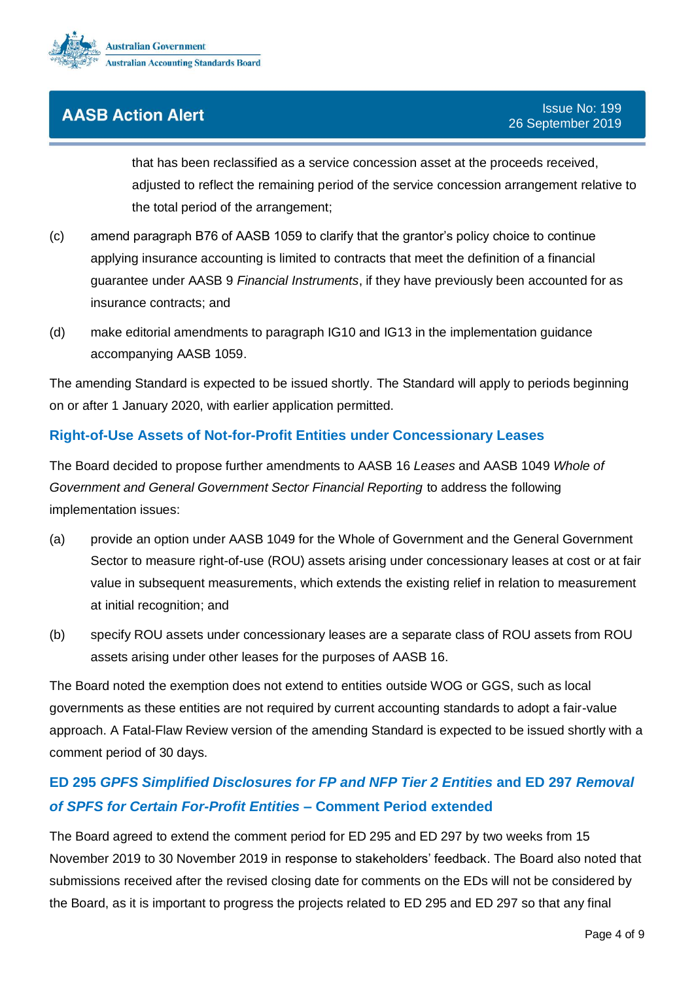

that has been reclassified as a service concession asset at the proceeds received, adjusted to reflect the remaining period of the service concession arrangement relative to the total period of the arrangement;

- (c) amend paragraph B76 of AASB 1059 to clarify that the grantor's policy choice to continue applying insurance accounting is limited to contracts that meet the definition of a financial guarantee under AASB 9 *Financial Instruments*, if they have previously been accounted for as insurance contracts; and
- (d) make editorial amendments to paragraph IG10 and IG13 in the implementation guidance accompanying AASB 1059.

The amending Standard is expected to be issued shortly. The Standard will apply to periods beginning on or after 1 January 2020, with earlier application permitted.

## <span id="page-3-0"></span>**Right-of-Use Assets of Not-for-Profit Entities under Concessionary Leases**

The Board decided to propose further amendments to AASB 16 *Leases* and AASB 1049 *Whole of Government and General Government Sector Financial Reporting* to address the following implementation issues:

- (a) provide an option under AASB 1049 for the Whole of Government and the General Government Sector to measure right-of-use (ROU) assets arising under concessionary leases at cost or at fair value in subsequent measurements, which extends the existing relief in relation to measurement at initial recognition; and
- (b) specify ROU assets under concessionary leases are a separate class of ROU assets from ROU assets arising under other leases for the purposes of AASB 16.

The Board noted the exemption does not extend to entities outside WOG or GGS, such as local governments as these entities are not required by current accounting standards to adopt a fair-value approach. A Fatal-Flaw Review version of the amending Standard is expected to be issued shortly with a comment period of 30 days.

# <span id="page-3-1"></span>**ED 295** *GPFS Simplified Disclosures for FP and NFP Tier 2 Entities* **and ED 297** *Removal of SPFS for Certain For-Profit Entities* **– Comment Period extended**

The Board agreed to extend the comment period for ED 295 and ED 297 by two weeks from 15 November 2019 to 30 November 2019 in response to stakeholders' feedback. The Board also noted that submissions received after the revised closing date for comments on the EDs will not be considered by the Board, as it is important to progress the projects related to ED 295 and ED 297 so that any final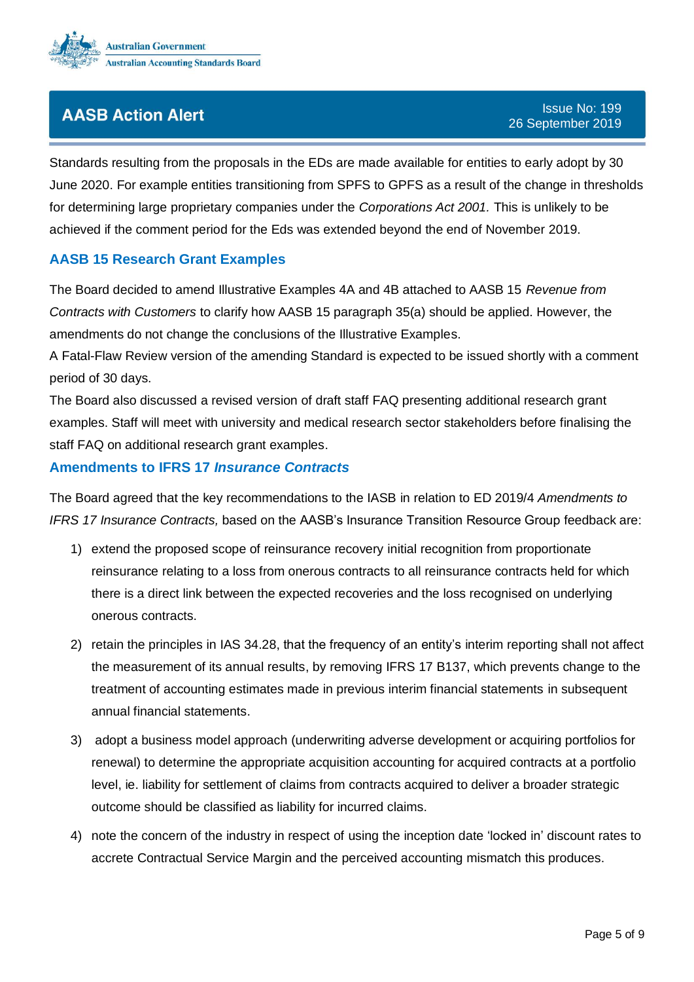

Standards resulting from the proposals in the EDs are made available for entities to early adopt by 30 June 2020. For example entities transitioning from SPFS to GPFS as a result of the change in thresholds for determining large proprietary companies under the *Corporations Act 2001.* This is unlikely to be achieved if the comment period for the Eds was extended beyond the end of November 2019.

# <span id="page-4-0"></span>**AASB 15 Research Grant Examples**

The Board decided to amend Illustrative Examples 4A and 4B attached to AASB 15 *Revenue from Contracts with Customers* to clarify how AASB 15 paragraph 35(a) should be applied. However, the amendments do not change the conclusions of the Illustrative Examples.

A Fatal-Flaw Review version of the amending Standard is expected to be issued shortly with a comment period of 30 days.

The Board also discussed a revised version of draft staff FAQ presenting additional research grant examples. Staff will meet with university and medical research sector stakeholders before finalising the staff FAQ on additional research grant examples.

### <span id="page-4-1"></span>**Amendments to IFRS 17** *Insurance Contracts*

The Board agreed that the key recommendations to the IASB in relation to ED 2019/4 *Amendments to IFRS 17 Insurance Contracts,* based on the AASB's Insurance Transition Resource Group feedback are:

- 1) extend the proposed scope of reinsurance recovery initial recognition from proportionate reinsurance relating to a loss from onerous contracts to all reinsurance contracts held for which there is a direct link between the expected recoveries and the loss recognised on underlying onerous contracts.
- 2) retain the principles in IAS 34.28, that the frequency of an entity's interim reporting shall not affect the measurement of its annual results, by removing IFRS 17 B137, which prevents change to the treatment of accounting estimates made in previous interim financial statements in subsequent annual financial statements.
- 3) adopt a business model approach (underwriting adverse development or acquiring portfolios for renewal) to determine the appropriate acquisition accounting for acquired contracts at a portfolio level, ie. liability for settlement of claims from contracts acquired to deliver a broader strategic outcome should be classified as liability for incurred claims.
- 4) note the concern of the industry in respect of using the inception date 'locked in' discount rates to accrete Contractual Service Margin and the perceived accounting mismatch this produces.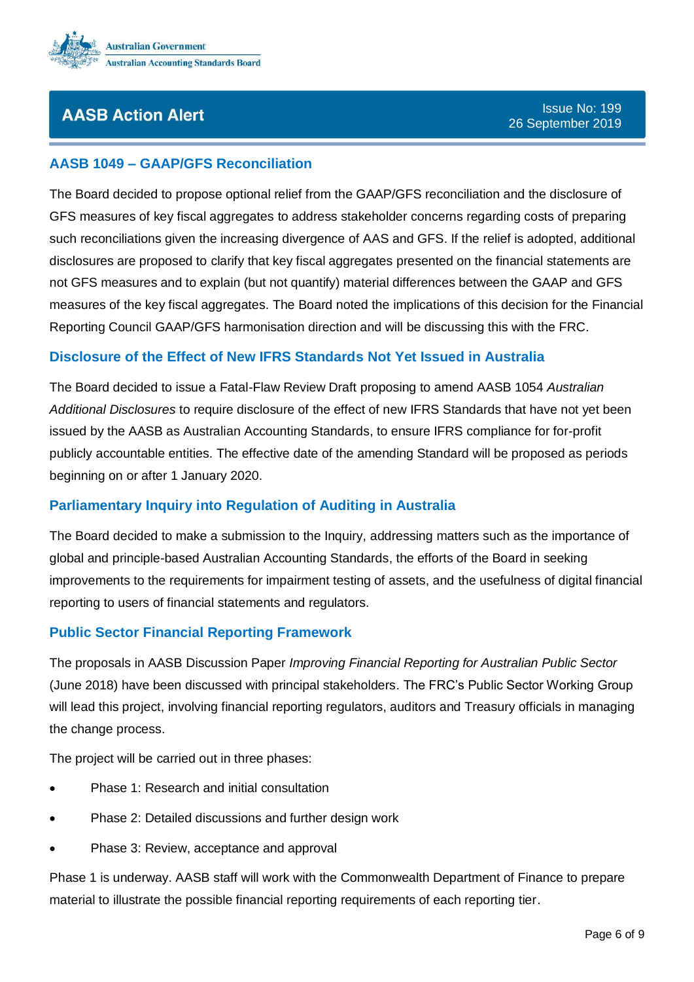

## <span id="page-5-0"></span>**AASB 1049 – GAAP/GFS Reconciliation**

The Board decided to propose optional relief from the GAAP/GFS reconciliation and the disclosure of GFS measures of key fiscal aggregates to address stakeholder concerns regarding costs of preparing such reconciliations given the increasing divergence of AAS and GFS. If the relief is adopted, additional disclosures are proposed to clarify that key fiscal aggregates presented on the financial statements are not GFS measures and to explain (but not quantify) material differences between the GAAP and GFS measures of the key fiscal aggregates. The Board noted the implications of this decision for the Financial Reporting Council GAAP/GFS harmonisation direction and will be discussing this with the FRC.

## <span id="page-5-1"></span>**Disclosure of the Effect of New IFRS Standards Not Yet Issued in Australia**

The Board decided to issue a Fatal-Flaw Review Draft proposing to amend AASB 1054 *Australian Additional Disclosures* to require disclosure of the effect of new IFRS Standards that have not yet been issued by the AASB as Australian Accounting Standards, to ensure IFRS compliance for for-profit publicly accountable entities. The effective date of the amending Standard will be proposed as periods beginning on or after 1 January 2020.

## <span id="page-5-2"></span>**Parliamentary Inquiry into Regulation of Auditing in Australia**

The Board decided to make a submission to the Inquiry, addressing matters such as the importance of global and principle-based Australian Accounting Standards, the efforts of the Board in seeking improvements to the requirements for impairment testing of assets, and the usefulness of digital financial reporting to users of financial statements and regulators.

### <span id="page-5-3"></span>**Public Sector Financial Reporting Framework**

The proposals in AASB Discussion Paper *Improving Financial Reporting for Australian Public Sector* (June 2018) have been discussed with principal stakeholders. The FRC's Public Sector Working Group will lead this project, involving financial reporting regulators, auditors and Treasury officials in managing the change process.

The project will be carried out in three phases:

- Phase 1: Research and initial consultation
- Phase 2: Detailed discussions and further design work
- Phase 3: Review, acceptance and approval

Phase 1 is underway. AASB staff will work with the Commonwealth Department of Finance to prepare material to illustrate the possible financial reporting requirements of each reporting tier.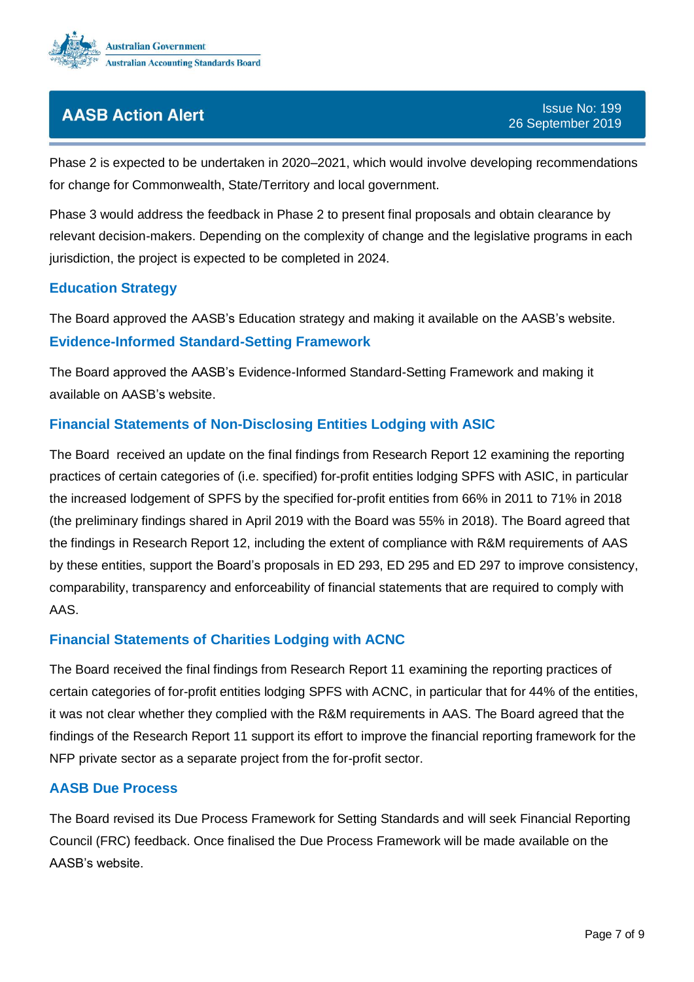

Phase 2 is expected to be undertaken in 2020–2021, which would involve developing recommendations for change for Commonwealth, State/Territory and local government.

Phase 3 would address the feedback in Phase 2 to present final proposals and obtain clearance by relevant decision-makers. Depending on the complexity of change and the legislative programs in each jurisdiction, the project is expected to be completed in 2024.

## <span id="page-6-3"></span>**Education Strategy**

<span id="page-6-4"></span>The Board approved the AASB's Education strategy and making it available on the AASB's website. **Evidence-Informed Standard-Setting Framework**

The Board approved the AASB's Evidence-Informed Standard-Setting Framework and making it available on AASB's website.

## <span id="page-6-0"></span>**Financial Statements of Non-Disclosing Entities Lodging with ASIC**

The Board received an update on the final findings from Research Report 12 examining the reporting practices of certain categories of (i.e. specified) for-profit entities lodging SPFS with ASIC, in particular the increased lodgement of SPFS by the specified for-profit entities from 66% in 2011 to 71% in 2018 (the preliminary findings shared in April 2019 with the Board was 55% in 2018). The Board agreed that the findings in Research Report 12, including the extent of compliance with R&M requirements of AAS by these entities, support the Board's proposals in ED 293, ED 295 and ED 297 to improve consistency, comparability, transparency and enforceability of financial statements that are required to comply with AAS.

### <span id="page-6-1"></span>**Financial Statements of Charities Lodging with ACNC**

The Board received the final findings from Research Report 11 examining the reporting practices of certain categories of for-profit entities lodging SPFS with ACNC, in particular that for 44% of the entities, it was not clear whether they complied with the R&M requirements in AAS. The Board agreed that the findings of the Research Report 11 support its effort to improve the financial reporting framework for the NFP private sector as a separate project from the for-profit sector.

### <span id="page-6-2"></span>**AASB Due Process**

The Board revised its Due Process Framework for Setting Standards and will seek Financial Reporting Council (FRC) feedback. Once finalised the Due Process Framework will be made available on the AASB's website.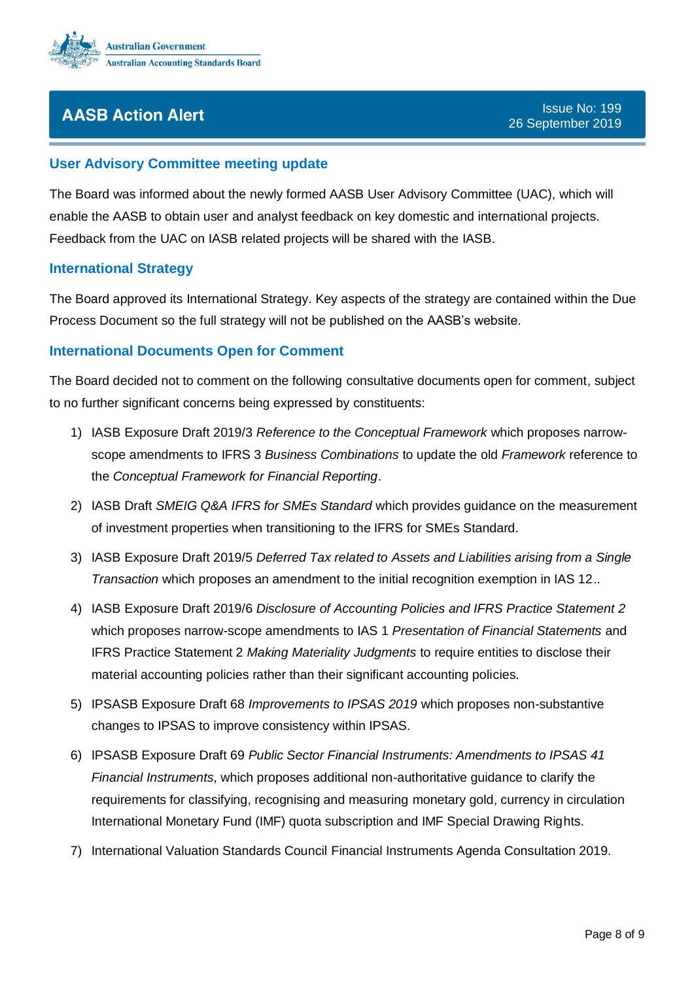

### <span id="page-7-1"></span>**User Advisory Committee meeting update**

The Board was informed about the newly formed AASB User Advisory Committee (UAC), which will enable the AASB to obtain user and analyst feedback on key domestic and international projects. Feedback from the UAC on IASB related projects will be shared with the IASB.

#### <span id="page-7-0"></span>**International Strategy**

The Board approved its International Strategy. Key aspects of the strategy are contained within the Due Process Document so the full strategy will not be published on the AASB's website.

#### <span id="page-7-2"></span>**International Documents Open for Comment**

The Board decided not to comment on the following consultative documents open for comment, subject to no further significant concerns being expressed by constituents:

- 1) IASB Exposure Draft 2019/3 *Reference to the Conceptual Framework* which proposes narrowscope amendments to IFRS 3 *Business Combinations* to update the old *Framework* reference to the *Conceptual Framework for Financial Reporting*.
- 2) IASB Draft *SMEIG Q&A IFRS for SMEs Standard* which provides guidance on the measurement of investment properties when transitioning to the IFRS for SMEs Standard.
- 3) IASB Exposure Draft 2019/5 *Deferred Tax related to Assets and Liabilities arising from a Single Transaction* which proposes an amendment to the initial recognition exemption in IAS 12..
- 4) IASB Exposure Draft 2019/6 *Disclosure of Accounting Policies and IFRS Practice Statement 2* which proposes narrow-scope amendments to IAS 1 *Presentation of Financial Statements* and IFRS Practice Statement 2 *Making Materiality Judgments* to require entities to disclose their material accounting policies rather than their significant accounting policies.
- 5) IPSASB Exposure Draft 68 *Improvements to IPSAS 2019* which proposes non-substantive changes to IPSAS to improve consistency within IPSAS.
- 6) IPSASB Exposure Draft 69 *Public Sector Financial Instruments: Amendments to IPSAS 41 Financial Instruments*, which proposes additional non-authoritative guidance to clarify the requirements for classifying, recognising and measuring monetary gold, currency in circulation International Monetary Fund (IMF) quota subscription and IMF Special Drawing Rights.
- 7) International Valuation Standards Council Financial Instruments Agenda Consultation 2019.